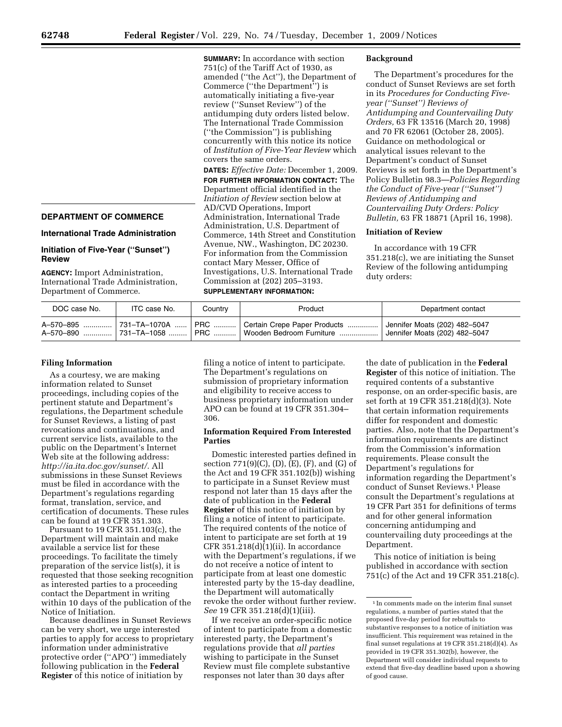# **DEPARTMENT OF COMMERCE**

## **International Trade Administration**

## **Initiation of Five-Year (''Sunset'') Review**

**AGENCY:** Import Administration, International Trade Administration, Department of Commerce.

**SUMMARY:** In accordance with section 751(c) of the Tariff Act of 1930, as amended (''the Act''), the Department of Commerce (''the Department'') is automatically initiating a five-year review (''Sunset Review'') of the antidumping duty orders listed below. The International Trade Commission (''the Commission'') is publishing concurrently with this notice its notice of *Institution of Five-Year Review* which covers the same orders.

**DATES:** *Effective Date:* December 1, 2009. **FOR FURTHER INFORMATION CONTACT:** The Department official identified in the *Initiation of Review* section below at AD/CVD Operations, Import Administration, International Trade Administration, U.S. Department of Commerce, 14th Street and Constitution Avenue, NW., Washington, DC 20230. For information from the Commission contact Mary Messer, Office of Investigations, U.S. International Trade Commission at (202) 205–3193. **SUPPLEMENTARY INFORMATION:** 

#### **Background**

The Department's procedures for the conduct of Sunset Reviews are set forth in its *Procedures for Conducting Fiveyear (''Sunset'') Reviews of Antidumping and Countervailing Duty Orders,* 63 FR 13516 (March 20, 1998) and 70 FR 62061 (October 28, 2005). Guidance on methodological or analytical issues relevant to the Department's conduct of Sunset Reviews is set forth in the Department's Policy Bulletin 98.3—*Policies Regarding the Conduct of Five-year (''Sunset'') Reviews of Antidumping and Countervailing Duty Orders: Policy Bulletin,* 63 FR 18871 (April 16, 1998).

#### **Initiation of Review**

In accordance with 19 CFR 351.218(c), we are initiating the Sunset Review of the following antidumping duty orders:

| DOC case No. | ITC case No. | Country | Product                                                                                                                     | Department contact            |
|--------------|--------------|---------|-----------------------------------------------------------------------------------------------------------------------------|-------------------------------|
|              |              |         | A-570-895  731–TA-1070A    PRC    Certain Crepe Paper Products    Jennifer Moats (202) 482–5047<br>Wooden Bedroom Furniture | Jennifer Moats (202) 482-5047 |

#### **Filing Information**

As a courtesy, we are making information related to Sunset proceedings, including copies of the pertinent statute and Department's regulations, the Department schedule for Sunset Reviews, a listing of past revocations and continuations, and current service lists, available to the public on the Department's Internet Web site at the following address: *http://ia.ita.doc.gov/sunset/.* All submissions in these Sunset Reviews must be filed in accordance with the Department's regulations regarding format, translation, service, and certification of documents. These rules can be found at 19 CFR 351.303.

Pursuant to 19 CFR 351.103(c), the Department will maintain and make available a service list for these proceedings. To facilitate the timely preparation of the service list(s), it is requested that those seeking recognition as interested parties to a proceeding contact the Department in writing within 10 days of the publication of the Notice of Initiation.

Because deadlines in Sunset Reviews can be very short, we urge interested parties to apply for access to proprietary information under administrative protective order (''APO'') immediately following publication in the **Federal Register** of this notice of initiation by

filing a notice of intent to participate. The Department's regulations on submission of proprietary information and eligibility to receive access to business proprietary information under APO can be found at 19 CFR 351.304– 306.

### **Information Required From Interested Parties**

Domestic interested parties defined in section  $771(9)(C)$ ,  $(D)$ ,  $(E)$ ,  $(F)$ , and  $(G)$  of the Act and 19 CFR 351.102(b)) wishing to participate in a Sunset Review must respond not later than 15 days after the date of publication in the **Federal Register** of this notice of initiation by filing a notice of intent to participate. The required contents of the notice of intent to participate are set forth at 19 CFR 351.218(d)(1)(ii). In accordance with the Department's regulations, if we do not receive a notice of intent to participate from at least one domestic interested party by the 15-day deadline, the Department will automatically revoke the order without further review. *See* 19 CFR 351.218(d)(1)(iii).

If we receive an order-specific notice of intent to participate from a domestic interested party, the Department's regulations provide that *all parties*  wishing to participate in the Sunset Review must file complete substantive responses not later than 30 days after

the date of publication in the **Federal Register** of this notice of initiation. The required contents of a substantive response, on an order-specific basis, are set forth at 19 CFR 351.218(d)(3). Note that certain information requirements differ for respondent and domestic parties. Also, note that the Department's information requirements are distinct from the Commission's information requirements. Please consult the Department's regulations for information regarding the Department's conduct of Sunset Reviews.1 Please consult the Department's regulations at 19 CFR Part 351 for definitions of terms and for other general information concerning antidumping and countervailing duty proceedings at the Department.

This notice of initiation is being published in accordance with section 751(c) of the Act and 19 CFR 351.218(c).

<sup>1</sup> In comments made on the interim final sunset regulations, a number of parties stated that the proposed five-day period for rebuttals to substantive responses to a notice of initiation was insufficient. This requirement was retained in the final sunset regulations at 19 CFR 351.218(d)(4). As provided in 19 CFR 351.302(b), however, the Department will consider individual requests to extend that five-day deadline based upon a showing of good cause.